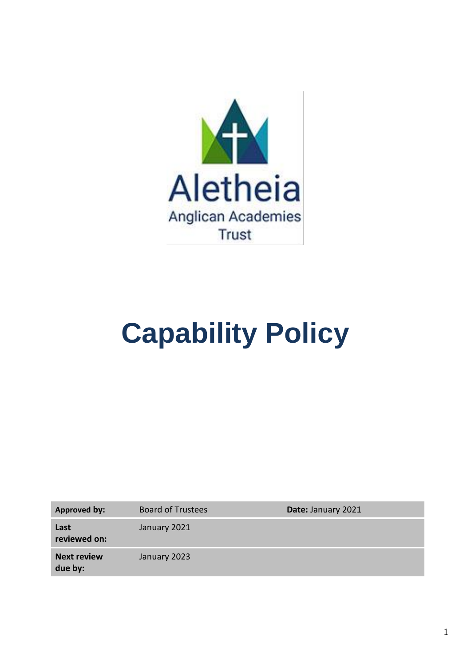

# **Capability Policy**

| Approved by:                  | <b>Board of Trustees</b> | Date: January 2021 |
|-------------------------------|--------------------------|--------------------|
| Last<br>reviewed on:          | January 2021             |                    |
| <b>Next review</b><br>due by: | January 2023             |                    |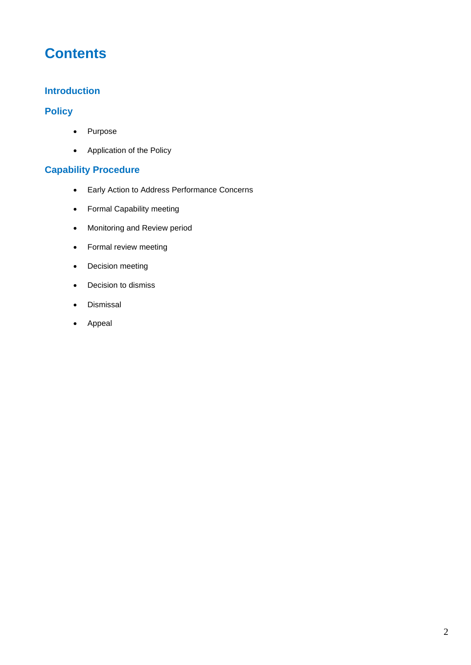## **Contents**

## **Introduction**

## **Policy**

- Purpose
- Application of the Policy

## **Capability Procedure**

- Early Action to Address Performance Concerns
- Formal Capability meeting
- Monitoring and Review period
- Formal review meeting
- Decision meeting
- Decision to dismiss
- Dismissal
- Appeal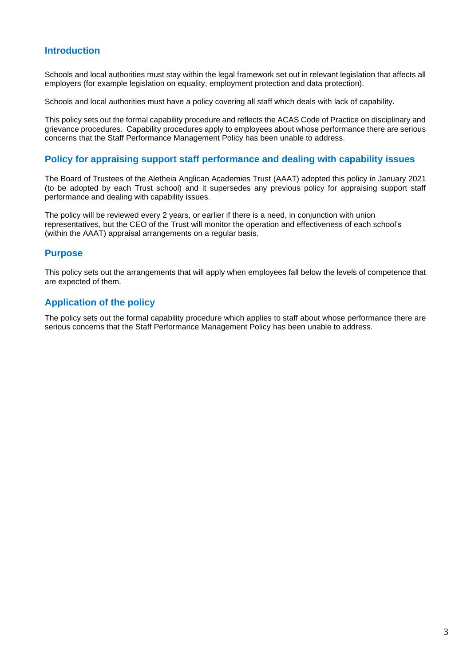## **Introduction**

Schools and local authorities must stay within the legal framework set out in relevant legislation that affects all employers (for example legislation on equality, employment protection and data protection).

Schools and local authorities must have a policy covering all staff which deals with lack of capability.

This policy sets out the formal capability procedure and reflects the ACAS Code of Practice on disciplinary and grievance procedures. Capability procedures apply to employees about whose performance there are serious concerns that the Staff Performance Management Policy has been unable to address.

#### **Policy for appraising support staff performance and dealing with capability issues**

The Board of Trustees of the Aletheia Anglican Academies Trust (AAAT) adopted this policy in January 2021 (to be adopted by each Trust school) and it supersedes any previous policy for appraising support staff performance and dealing with capability issues.

The policy will be reviewed every 2 years, or earlier if there is a need, in conjunction with union representatives, but the CEO of the Trust will monitor the operation and effectiveness of each school's (within the AAAT) appraisal arrangements on a regular basis.

#### **Purpose**

This policy sets out the arrangements that will apply when employees fall below the levels of competence that are expected of them.

## **Application of the policy**

The policy sets out the formal capability procedure which applies to staff about whose performance there are serious concerns that the Staff Performance Management Policy has been unable to address.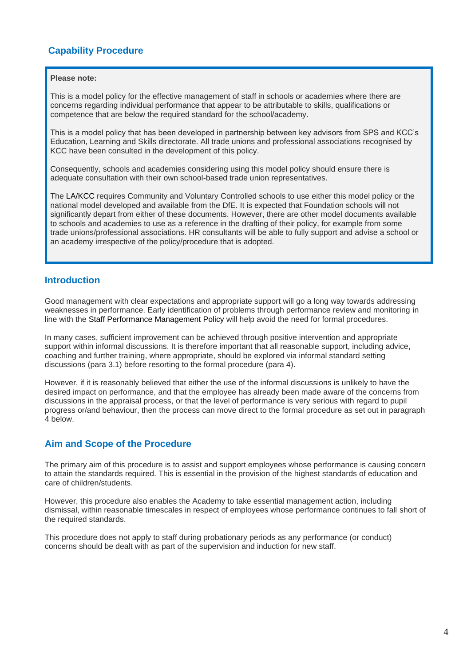## **Capability Procedure**

#### **Please note:**

This is a model policy for the effective management of staff in schools or academies where there are concerns regarding individual performance that appear to be attributable to skills, qualifications or competence that are below the required standard for the school/academy.

This is a model policy that has been developed in partnership between key advisors from SPS and KCC's Education, Learning and Skills directorate. All trade unions and professional associations recognised by KCC have been consulted in the development of this policy.

Consequently, schools and academies considering using this model policy should ensure there is adequate consultation with their own school-based trade union representatives.

The LA/KCC requires Community and Voluntary Controlled schools to use either this model policy or the national model developed and available from the DfE. It is expected that Foundation schools will not significantly depart from either of these documents. However, there are other model documents available to schools and academies to use as a reference in the drafting of their policy, for example from some trade unions/professional associations. HR consultants will be able to fully support and advise a school or an academy irrespective of the policy/procedure that is adopted.

### **Introduction**

Good management with clear expectations and appropriate support will go a long way towards addressing weaknesses in performance. Early identification of problems through performance review and monitoring in line with the Staff Performance Management Policy will help avoid the need for formal procedures.

In many cases, sufficient improvement can be achieved through positive intervention and appropriate support within informal discussions. It is therefore important that all reasonable support, including advice, coaching and further training, where appropriate, should be explored via informal standard setting discussions (para 3.1) before resorting to the formal procedure (para 4).

However, if it is reasonably believed that either the use of the informal discussions is unlikely to have the desired impact on performance, and that the employee has already been made aware of the concerns from discussions in the appraisal process, or that the level of performance is very serious with regard to pupil progress or/and behaviour, then the process can move direct to the formal procedure as set out in paragraph 4 below.

## **Aim and Scope of the Procedure**

The primary aim of this procedure is to assist and support employees whose performance is causing concern to attain the standards required. This is essential in the provision of the highest standards of education and care of children/students.

However, this procedure also enables the Academy to take essential management action, including dismissal, within reasonable timescales in respect of employees whose performance continues to fall short of the required standards.

This procedure does not apply to staff during probationary periods as any performance (or conduct) concerns should be dealt with as part of the supervision and induction for new staff.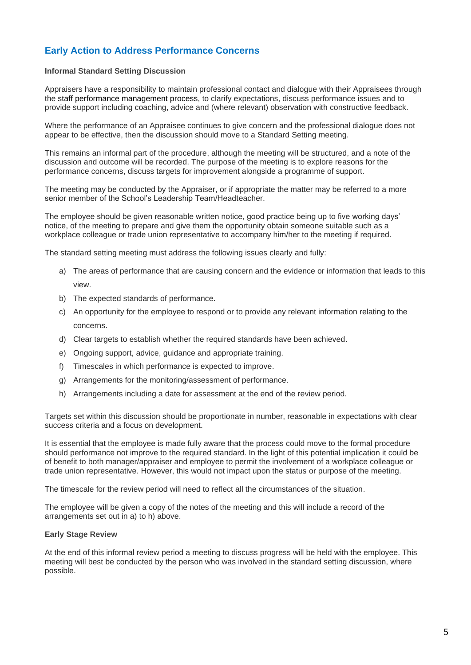## **Early Action to Address Performance Concerns**

#### **Informal Standard Setting Discussion**

Appraisers have a responsibility to maintain professional contact and dialogue with their Appraisees through the staff performance management process, to clarify expectations, discuss performance issues and to provide support including coaching, advice and (where relevant) observation with constructive feedback.

Where the performance of an Appraisee continues to give concern and the professional dialogue does not appear to be effective, then the discussion should move to a Standard Setting meeting.

This remains an informal part of the procedure, although the meeting will be structured, and a note of the discussion and outcome will be recorded. The purpose of the meeting is to explore reasons for the performance concerns, discuss targets for improvement alongside a programme of support.

The meeting may be conducted by the Appraiser, or if appropriate the matter may be referred to a more senior member of the School's Leadership Team/Headteacher.

The employee should be given reasonable written notice, good practice being up to five working days' notice, of the meeting to prepare and give them the opportunity obtain someone suitable such as a workplace colleague or trade union representative to accompany him/her to the meeting if required.

The standard setting meeting must address the following issues clearly and fully:

- a) The areas of performance that are causing concern and the evidence or information that leads to this view.
- b) The expected standards of performance.
- c) An opportunity for the employee to respond or to provide any relevant information relating to the concerns.
- d) Clear targets to establish whether the required standards have been achieved.
- e) Ongoing support, advice, guidance and appropriate training.
- f) Timescales in which performance is expected to improve.
- g) Arrangements for the monitoring/assessment of performance.
- h) Arrangements including a date for assessment at the end of the review period.

Targets set within this discussion should be proportionate in number, reasonable in expectations with clear success criteria and a focus on development.

It is essential that the employee is made fully aware that the process could move to the formal procedure should performance not improve to the required standard. In the light of this potential implication it could be of benefit to both manager/appraiser and employee to permit the involvement of a workplace colleague or trade union representative. However, this would not impact upon the status or purpose of the meeting.

The timescale for the review period will need to reflect all the circumstances of the situation.

The employee will be given a copy of the notes of the meeting and this will include a record of the arrangements set out in a) to h) above.

#### **Early Stage Review**

At the end of this informal review period a meeting to discuss progress will be held with the employee. This meeting will best be conducted by the person who was involved in the standard setting discussion, where possible.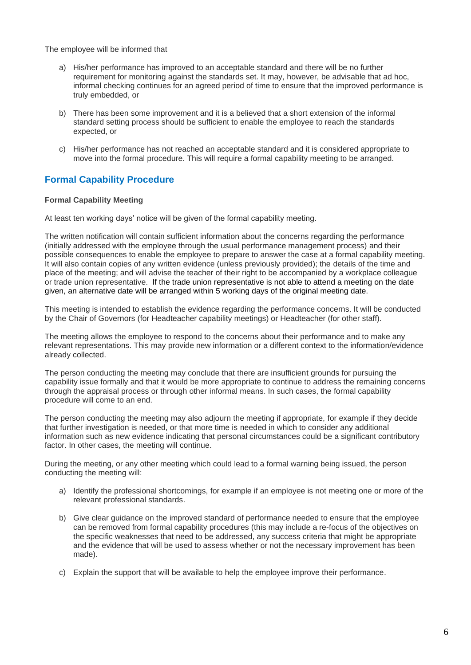The employee will be informed that

- a) His/her performance has improved to an acceptable standard and there will be no further requirement for monitoring against the standards set. It may, however, be advisable that ad hoc, informal checking continues for an agreed period of time to ensure that the improved performance is truly embedded, or
- b) There has been some improvement and it is a believed that a short extension of the informal standard setting process should be sufficient to enable the employee to reach the standards expected, or
- c) His/her performance has not reached an acceptable standard and it is considered appropriate to move into the formal procedure. This will require a formal capability meeting to be arranged.

## **Formal Capability Procedure**

#### **Formal Capability Meeting**

At least ten working days' notice will be given of the formal capability meeting.

The written notification will contain sufficient information about the concerns regarding the performance (initially addressed with the employee through the usual performance management process) and their possible consequences to enable the employee to prepare to answer the case at a formal capability meeting. It will also contain copies of any written evidence (unless previously provided); the details of the time and place of the meeting; and will advise the teacher of their right to be accompanied by a workplace colleague or trade union representative. If the trade union representative is not able to attend a meeting on the date given, an alternative date will be arranged within 5 working days of the original meeting date.

This meeting is intended to establish the evidence regarding the performance concerns. It will be conducted by the Chair of Governors (for Headteacher capability meetings) or Headteacher (for other staff)*.*

The meeting allows the employee to respond to the concerns about their performance and to make any relevant representations. This may provide new information or a different context to the information/evidence already collected.

The person conducting the meeting may conclude that there are insufficient grounds for pursuing the capability issue formally and that it would be more appropriate to continue to address the remaining concerns through the appraisal process or through other informal means. In such cases, the formal capability procedure will come to an end.

The person conducting the meeting may also adjourn the meeting if appropriate, for example if they decide that further investigation is needed, or that more time is needed in which to consider any additional information such as new evidence indicating that personal circumstances could be a significant contributory factor. In other cases, the meeting will continue.

During the meeting, or any other meeting which could lead to a formal warning being issued, the person conducting the meeting will:

- a) Identify the professional shortcomings, for example if an employee is not meeting one or more of the relevant professional standards.
- b) Give clear guidance on the improved standard of performance needed to ensure that the employee can be removed from formal capability procedures (this may include a re-focus of the objectives on the specific weaknesses that need to be addressed, any success criteria that might be appropriate and the evidence that will be used to assess whether or not the necessary improvement has been made).
- c) Explain the support that will be available to help the employee improve their performance.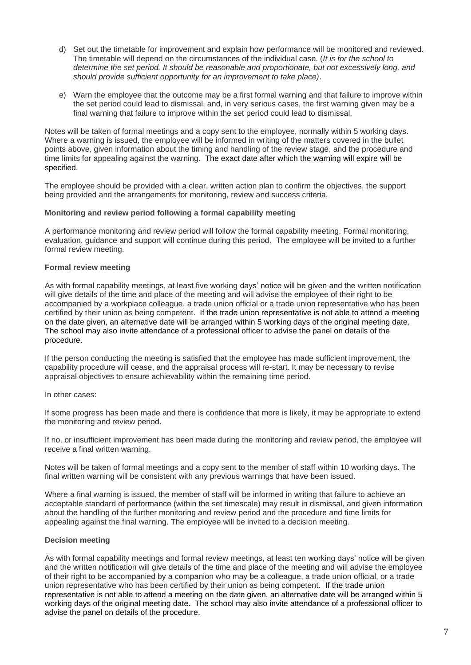- d) Set out the timetable for improvement and explain how performance will be monitored and reviewed. The timetable will depend on the circumstances of the individual case. (*It is for the school to determine the set period. It should be reasonable and proportionate, but not excessively long, and should provide sufficient opportunity for an improvement to take place)*.
- e) Warn the employee that the outcome may be a first formal warning and that failure to improve within the set period could lead to dismissal, and, in very serious cases, the first warning given may be a final warning that failure to improve within the set period could lead to dismissal.

Notes will be taken of formal meetings and a copy sent to the employee, normally within 5 working days. Where a warning is issued, the employee will be informed in writing of the matters covered in the bullet points above, given information about the timing and handling of the review stage, and the procedure and time limits for appealing against the warning. The exact date after which the warning will expire will be specified.

The employee should be provided with a clear, written action plan to confirm the objectives, the support being provided and the arrangements for monitoring, review and success criteria.

#### **Monitoring and review period following a formal capability meeting**

A performance monitoring and review period will follow the formal capability meeting. Formal monitoring, evaluation, guidance and support will continue during this period. The employee will be invited to a further formal review meeting.

#### **Formal review meeting**

As with formal capability meetings, at least five working days' notice will be given and the written notification will give details of the time and place of the meeting and will advise the employee of their right to be accompanied by a workplace colleague, a trade union official or a trade union representative who has been certified by their union as being competent. If the trade union representative is not able to attend a meeting on the date given, an alternative date will be arranged within 5 working days of the original meeting date. The school may also invite attendance of a professional officer to advise the panel on details of the procedure.

If the person conducting the meeting is satisfied that the employee has made sufficient improvement, the capability procedure will cease, and the appraisal process will re-start. It may be necessary to revise appraisal objectives to ensure achievability within the remaining time period.

#### In other cases:

If some progress has been made and there is confidence that more is likely, it may be appropriate to extend the monitoring and review period.

If no, or insufficient improvement has been made during the monitoring and review period, the employee will receive a final written warning.

Notes will be taken of formal meetings and a copy sent to the member of staff within 10 working days. The final written warning will be consistent with any previous warnings that have been issued.

Where a final warning is issued, the member of staff will be informed in writing that failure to achieve an acceptable standard of performance (within the set timescale) may result in dismissal, and given information about the handling of the further monitoring and review period and the procedure and time limits for appealing against the final warning. The employee will be invited to a decision meeting.

#### **Decision meeting**

As with formal capability meetings and formal review meetings, at least ten working days' notice will be given and the written notification will give details of the time and place of the meeting and will advise the employee of their right to be accompanied by a companion who may be a colleague, a trade union official, or a trade union representative who has been certified by their union as being competent. If the trade union representative is not able to attend a meeting on the date given, an alternative date will be arranged within 5 working days of the original meeting date. The school may also invite attendance of a professional officer to advise the panel on details of the procedure.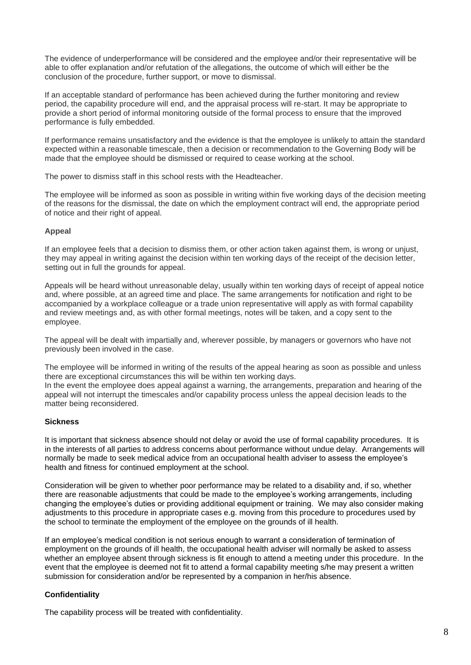The evidence of underperformance will be considered and the employee and/or their representative will be able to offer explanation and/or refutation of the allegations, the outcome of which will either be the conclusion of the procedure, further support, or move to dismissal.

If an acceptable standard of performance has been achieved during the further monitoring and review period, the capability procedure will end, and the appraisal process will re-start. It may be appropriate to provide a short period of informal monitoring outside of the formal process to ensure that the improved performance is fully embedded.

If performance remains unsatisfactory and the evidence is that the employee is unlikely to attain the standard expected within a reasonable timescale, then a decision or recommendation to the Governing Body will be made that the employee should be dismissed or required to cease working at the school.

The power to dismiss staff in this school rests with the Headteacher.

The employee will be informed as soon as possible in writing within five working days of the decision meeting of the reasons for the dismissal, the date on which the employment contract will end, the appropriate period of notice and their right of appeal.

#### **Appeal**

If an employee feels that a decision to dismiss them, or other action taken against them*,* is wrong or unjust, they may appeal in writing against the decision within ten working days of the receipt of the decision letter, setting out in full the grounds for appeal.

Appeals will be heard without unreasonable delay, usually within ten working days of receipt of appeal notice and, where possible, at an agreed time and place. The same arrangements for notification and right to be accompanied by a workplace colleague or a trade union representative will apply as with formal capability and review meetings and, as with other formal meetings, notes will be taken, and a copy sent to the employee.

The appeal will be dealt with impartially and, wherever possible, by managers or governors who have not previously been involved in the case.

The employee will be informed in writing of the results of the appeal hearing as soon as possible and unless there are exceptional circumstances this will be within ten working days.

In the event the employee does appeal against a warning, the arrangements, preparation and hearing of the appeal will not interrupt the timescales and/or capability process unless the appeal decision leads to the matter being reconsidered.

#### **Sickness**

It is important that sickness absence should not delay or avoid the use of formal capability procedures. It is in the interests of all parties to address concerns about performance without undue delay. Arrangements will normally be made to seek medical advice from an occupational health adviser to assess the employee's health and fitness for continued employment at the school.

Consideration will be given to whether poor performance may be related to a disability and, if so, whether there are reasonable adjustments that could be made to the employee's working arrangements, including changing the employee's duties or providing additional equipment or training. We may also consider making adjustments to this procedure in appropriate cases e.g. moving from this procedure to procedures used by the school to terminate the employment of the employee on the grounds of ill health.

If an employee's medical condition is not serious enough to warrant a consideration of termination of employment on the grounds of ill health, the occupational health adviser will normally be asked to assess whether an employee absent through sickness is fit enough to attend a meeting under this procedure. In the event that the employee is deemed not fit to attend a formal capability meeting s/he may present a written submission for consideration and/or be represented by a companion in her/his absence.

#### **Confidentiality**

The capability process will be treated with confidentiality.